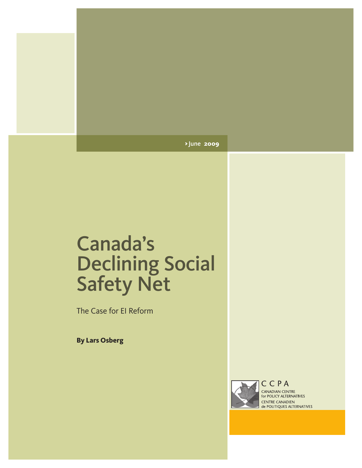> June **2009**

# Canada's Declining Social Safety Net

The Case for EI Reform

**By Lars Osberg**



CCPA CANADIAN CENTRE for POLICY ALTERNATIVES **CENTRE CANADIEN<br>de POLITIQUES ALTERNATIVES**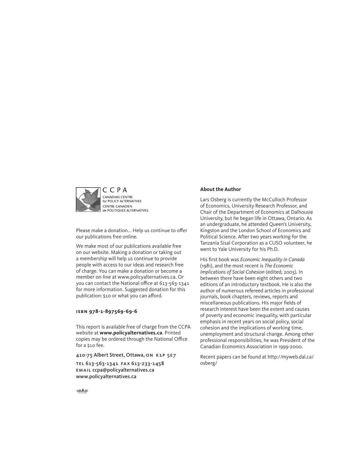

Please make a donation... Help us continue to offer our publications free online.

We make most of our publications available free on our website. Making a donation or taking out a membership will help us continue to provide people with access to our ideas and research free of charge. You can make a donation or become a member on-line at www.policyalternatives.ca. Or you can contact the National office at 613-563-1341 for more information. Suggested donation for this publication: \$10 or what you can afford.

### **isbn 978-1-897569-69-6**

This report is available free of charge from the CCPA website at **www.policyalternatives.ca**. Printed copies may be ordered through the National Office for a \$10 fee.

410-75 Albert Street, Ottawa, on k1p 5e7

TEL 613-563-1341 FAX 613-233-1458 email ccpa@policyalternatives.ca www.policyalternatives.ca

### **About the Author**

Lars Osberg is currently the McCulloch Professor of Economics, University Research Professor, and Chair of the Department of Economics at Dalhousie University, but he began life in Ottawa, Ontario. As an undergraduate, he attended Queen's University, Kingston and the London School of Economics and Political Science. After two years working for the Tanzania Sisal Corporation as a CUSO volunteer, he went to Yale University for his Ph.D.

His first book was *Economic Inequality in Canada*  (1981), and the most recent is *The Economic Implications of Social Cohesion* (edited, 2003). In between there have been eight others and two editions of an introductory textbook. He is also the author of numerous refereed articles in professional journals, book chapters, reviews, reports and miscellaneous publications. His major fields of research interest have been the extent and causes of poverty and economic inequality, with particular emphasis in recent years on social policy, social cohesion and the implications of working time, unemployment and structural change. Among other professional responsibilities, he was President of the Canadian Economics Association in 1999-2000.

Recent papers can be found at http://myweb.dal.ca/ osberg/

 $CAW = 567$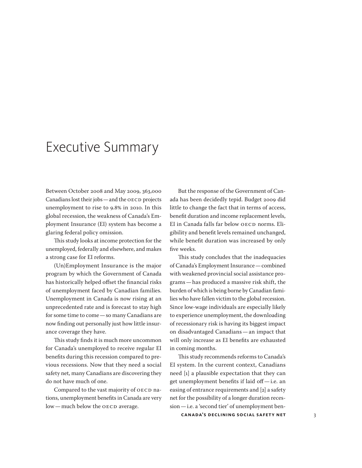# Executive Summary

Between October 2008 and May 2009, 363,000 Canadians lost their jobs—and the OECD projects unemployment to rise to 9.8% in 2010. In this global recession, the weakness of Canada's Employment Insurance (EI) system has become a glaring federal policy omission.

This study looks at income protection for the unemployed, federally and elsewhere, and makes a strong case for EI reforms.

(Un)Employment Insurance is the major program by which the Government of Canada has historically helped offset the financial risks of unemployment faced by Canadian families. Unemployment in Canada is now rising at an unprecedented rate and is forecast to stay high for some time to come—so many Canadians are now finding out personally just how little insurance coverage they have.

This study finds it is much more uncommon for Canada's unemployed to receive regular EI benefits during this recession compared to previous recessions. Now that they need a social safety net, many Canadians are discovering they do not have much of one.

Compared to the vast majority of OECD nations, unemployment benefits in Canada are very low—much below the OECD average.

But the response of the Government of Canada has been decidedly tepid. Budget 2009 did little to change the fact that in terms of access, benefit duration and income replacement levels, EI in Canada falls far below OECD norms. Eligibility and benefit levels remained unchanged, while benefit duration was increased by only five weeks.

This study concludes that the inadequacies of Canada's Employment Insurance—combined with weakened provincial social assistance programs—has produced a massive risk shift, the burden of which is being borne by Canadian families who have fallen victim to the global recession. Since low-wage individuals are especially likely to experience unemployment, the downloading of recessionary risk is having its biggest impact on disadvantaged Canadians—an impact that will only increase as EI benefits are exhausted in coming months.

This study recommends reforms to Canada's EI system. In the current context, Canadians need [1] a plausible expectation that they can get unemployment benefits if laid off—i.e. an easing of entrance requirements and [2] a safety net for the possibility of a longer duration recession—i.e. a 'second tier' of unemployment ben-

**CANADA'S DECLINING SOCIAL SAFETY NET** 3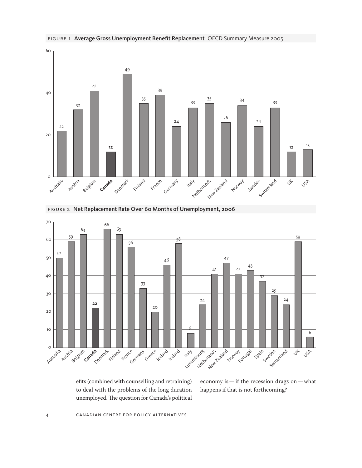





Luxembourg

8

Netherlands New Zealand

24

**Norway** 

Portugal

Ireland

figure 2 Net Replacement Rate Over 60 Months of Unemployment, 2006

efits (combined with counselling and retraining) to deal with the problems of the long duration unemployed. The question for Canada's political

Greece **Lceland** 

20

economy is—if the recession drags on—what happens if that is not forthcoming?

Spain Sweden Switzerland

29

24

 $\downarrow$ USA

59

6

sur France Germany

Finland

**22**

 $\circ$ 

Australia

Austria Belgium **Canada** Denmark

10

20

30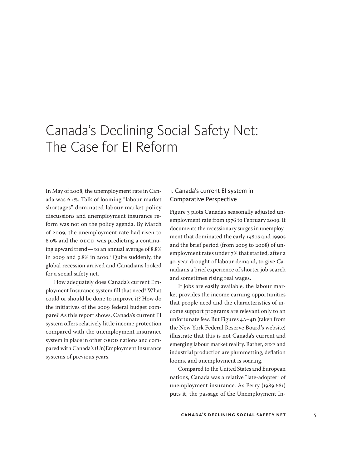# Canada's Declining Social Safety Net: The Case for EI Reform

In May of 2008, the unemployment rate in Canada was 6.1%. Talk of looming "labour market shortages" dominated labour market policy discussions and unemployment insurance reform was not on the policy agenda. By March of 2009, the unemployment rate had risen to 8.0% and the OECD was predicting a continuing upward trend—to an annual average of 8.8% in 2009 and 9.8% in 2010.1 Quite suddenly, the global recession arrived and Canadians looked for a social safety net.

How adequately does Canada's current Employment Insurance system fill that need? What could or should be done to improve it? How do the initiatives of the 2009 federal budget compare? As this report shows, Canada's current EI system offers relatively little income protection compared with the unemployment insurance system in place in other OECD nations and compared with Canada's (Un)Employment Insurance systems of previous years.

# 1. Canada's current EI system in Comparative Perspective

Figure 3 plots Canada's seasonally adjusted unemployment rate from 1976 to February 2009. It documents the recessionary surges in unemployment that dominated the early 1980s and 1990s and the brief period (from 2005 to 2008) of unemployment rates under 7% that started, after a 30-year drought of labour demand, to give Canadians a brief experience of shorter job search and sometimes rising real wages.

If jobs are easily available, the labour market provides the income earning opportunities that people need and the characteristics of income support programs are relevant only to an unfortunate few. But Figures 4A-4D (taken from the New York Federal Reserve Board's website) illustrate that this is not Canada's current and emerging labour market reality. Rather, GDP and industrial production are plummetting, deflation looms, and unemployment is soaring.

Compared to the United States and European nations, Canada was a relative "late-adopter" of unemployment insurance. As Perry (1989:681) puts it, the passage of the Unemployment In-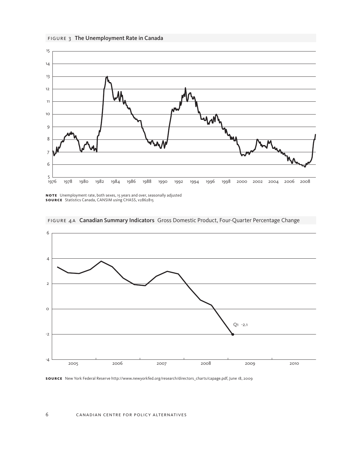



**N O T E** Unemployment rate, both sexes, 15 years and over, seasonally adjusted **Sou rce** Statistics Canada, CANSIM using CHASS, v2862815



figure 4a Canadian Summary Indicators Gross Domestic Product, Four-Quarter Percentage Change

#### canadian centre for policy alternatives

**Sou rce** New York Federal Reserve http://www.newyorkfed.org/research/directors\_charts/capage.pdf, June 18, 2009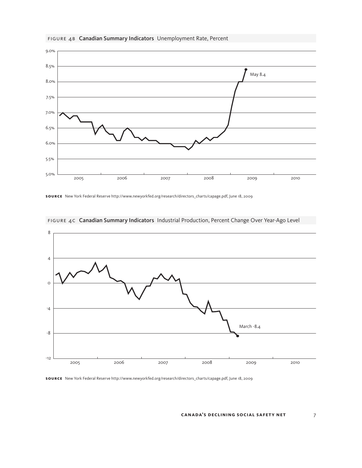

## FIGURE 4B Canadian Summary Indicators Unemployment Rate, Percent

**Sou rce** New York Federal Reserve http://www.newyorkfed.org/research/directors\_charts/capage.pdf, June 18, 2009



figure 4c Canadian Summary Indicators Industrial Production, Percent Change Over Year-Ago Level

**Sou rce** New York Federal Reserve http://www.newyorkfed.org/research/directors\_charts/capage.pdf, June 18, 2009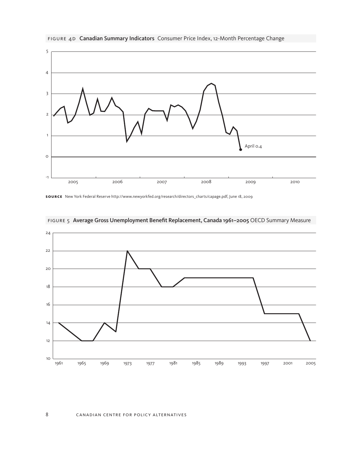

figure 4d Canadian Summary Indicators Consumer Price Index, 12-Month Percentage Change

**Sou rce** New York Federal Reserve http://www.newyorkfed.org/research/directors\_charts/capage.pdf, June 18, 2009



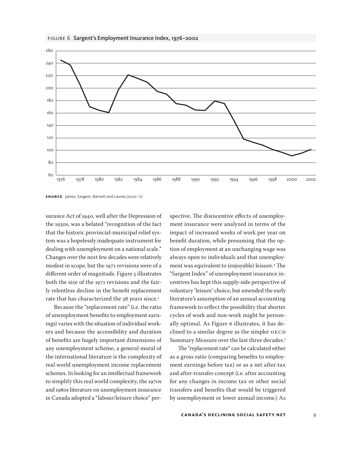



surance Act of 1940, well after the Depression of the 1930s, was a belated "recognition of the fact that the historic provincial-municipal relief system was a hopelessly inadequate instrument for dealing with unemployment on a national scale." Changes over the next few decades were relatively modest in scope, but the 1971 revisions were of a different order of magnitude. Figure 5 illustrates both the size of the 1971 revisions and the fairly relentless decline in the benefit replacement rate that has characterized the 38 years since.<sup>3</sup>

Because the "replacement rate" (i.e. the ratio of unemployment benefits to employment earnings) varies with the situation of individual workers and because the accessibility and duration of benefits are hugely important dimensions of any unemployment scheme, a general moral of the international literature is the complexity of real world unemployment income replacement schemes. In looking for an intellectual framework to simplify this real world complexity, the 1970s and 1980s literature on unemployment insurance in Canada adopted a "labour/leisure choice" perspective. The disincentive effects of unemployment insurance were analyzed in terms of the impact of increased weeks of work per year on benefit duration, while presuming that the option of employment at an unchanging wage was always open to individuals and that unemployment was equivalent to (enjoyable) leisure.4 The "Sargent Index" of unemployment insurance incentives has kept this supply-side perspective of voluntary 'leisure' choice, but amended the early literature's assumption of an annual accounting framework to reflect the possibility that shorter cycles of work and non-work might be personally optimal. As Figure 6 illustrates, it has declined to a similar degree as the simpler OECD Summary Measure over the last three decades.5

The "replacement rate" can be calculated either as a gross ratio (comparing benefits to employment earnings before tax) or as a net after-tax and after-transfer concept (i.e. after accounting for any changes in income tax or other social transfers and benefits that would be triggered by unemployment or lower annual income.) As

#### **CANADA'S DECLINING SOCIAL SAFETY NET** 9

**Sou rce** James, Sargent, Barnett and Lavoie (2007: 11)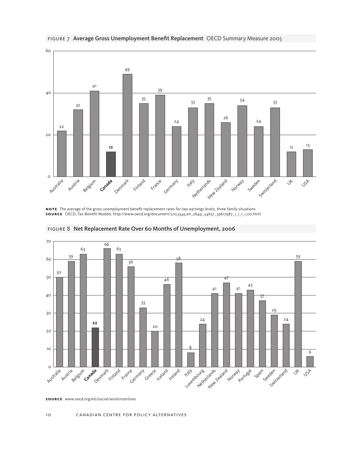

figure 7 Average Gross Unemployment Benefit Replacement OECD Summary Measure 2005

**NOTE** The average of the gross unemployment benefit replacement rates for two earnings levels, three family situations **Sou rce** OECD, Tax-Benefit Models. http://www.oecd.org/document/3/0,3343,en\_2649\_34637\_39617987\_1\_1\_1\_1,00.html



figure 8 Net Replacement Rate Over 60 Months of Unemployment, 2006

**Sou rce** www.oecd.org/els/social/workincentives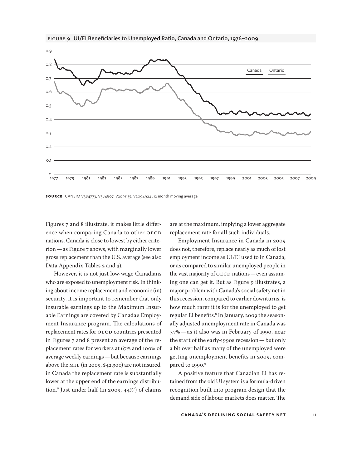



Figures 7 and 8 illustrate, it makes little difference when comparing Canada to other OECD nations. Canada is close to lowest by either criterion—as Figure 7 shows, with marginally lower gross replacement than the U.S. average (see also Data Appendix Tables 2 and 3).

However, it is not just low-wage Canadians who are exposed to unemployment risk. In thinking about income replacement and economic (in) security, it is important to remember that only insurable earnings up to the Maximum Insurable Earnings are covered by Canada's Employment Insurance program. The calculations of replacement rates for OECD countries presented in Figures 7 and 8 present an average of the replacement rates for workers at 67% and 100% of average weekly earnings—but because earnings above the MIE (in 2009, \$42,300) are not insured, in Canada the replacement rate is substantially lower at the upper end of the earnings distribution.6 Just under half (in 2009, 44%7 ) of claims are at the maximum, implying a lower aggregate replacement rate for all such individuals.

Employment Insurance in Canada in 2009 does not, therefore, replace nearly as much of lost employment income as UI/EI used to in Canada, or as compared to similar unemployed people in the vast majority of OECD nations—even assuming one can get it. But as Figure 9 illustrates, a major problem with Canada's social safety net in this recession, compared to earlier downturns, is how much rarer it is for the unemployed to get regular EI benefits.<sup>8</sup> In January, 2009 the seasonally adjusted unemployment rate in Canada was 7.7%—as it also was in February of 1990, near the start of the early-1990s recession—but only a bit over half as many of the unemployed were getting unemployment benefits in 2009, compared to 1990.9

A positive feature that Canadian EI has retained from the old UI system is a formula-driven recognition built into program design that the demand side of labour markets does matter. The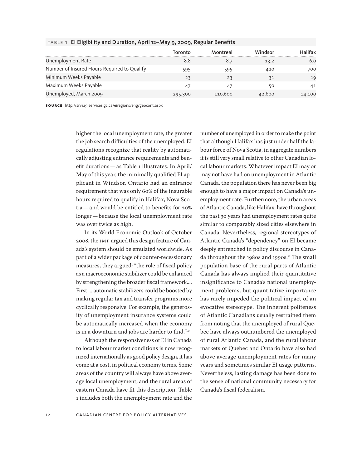|                                             | Toronto | Montreal | Windsor | litax. |
|---------------------------------------------|---------|----------|---------|--------|
| Unemployment Rate                           | 8.8     |          | 13.2    | 6.0    |
| Number of Insured Hours Required to Qualify | 595     | 595      | 420     | 700    |
| Minimum Weeks Payable                       | 23      | 23       | 31      | 19     |
| Maximum Weeks Payable                       |         | 47       | 50      | 41     |
| Unemployed, March 2009                      | 295,300 | 110.600  | 42.600  | 14,100 |

### table 1 EI Eligibility and Duration, April 12–May 9, 2009, Regular Benefits

**sou rce** http://srv129.services.gc.ca/eiregions/eng/geocont.aspx

higher the local unemployment rate, the greater the job search difficulties of the unemployed. EI regulations recognize that reality by automatically adjusting entrance requirements and benefit durations—as Table 1 illustrates. In April/ May of this year, the minimally qualified EI applicant in Windsor, Ontario had an entrance requirement that was only 60% of the insurable hours required to qualify in Halifax, Nova Scotia—and would be entitled to benefits for 20% longer—because the local unemployment rate was over twice as high.

In its World Economic Outlook of October 2008, the IMF argued this design feature of Canada's system should be emulated worldwide. As part of a wider package of counter-recessionary measures, they argued: "the role of fiscal policy as a macroeconomic stabilizer could be enhanced by strengthening the broader fiscal framework.... First, ...automatic stabilizers could be boosted by making regular tax and transfer programs more cyclically responsive. For example, the generosity of unemployment insurance systems could be automatically increased when the economy is in a downturn and jobs are harder to find."<sup>10</sup>

Although the responsiveness of EI in Canada to local labour market conditions is now recognized internationally as good policy design, it has come at a cost, in political economy terms. Some areas of the country will always have above average local unemployment, and the rural areas of eastern Canada have fit this description. Table 1 includes both the unemployment rate and the number of unemployed in order to make the point that although Halifax has just under half the labour force of Nova Scotia, in aggregate numbers it is still very small relative to other Canadian local labour markets. Whatever impact EI may or may not have had on unemployment in Atlantic Canada, the population there has never been big enough to have a major impact on Canada's unemployment rate. Furthermore, the urban areas of Atlantic Canada, like Halifax, have throughout the past 30 years had unemployment rates quite similar to comparably sized cities elsewhere in Canada. Nevertheless, regional stereotypes of Atlantic Canada's "dependency" on EI became deeply entrenched in policy discourse in Canada throughout the 1980s and 1990s.<sup>11</sup> The small population base of the rural parts of Atlantic Canada has always implied their quantitative insignificance to Canada's national unemployment problems, but quantitative importance has rarely impeded the political impact of an evocative stereotype. The inherent politeness of Atlantic Canadians usually restrained them from noting that the unemployed of rural Quebec have always outnumbered the unemployed of rural Atlantic Canada, and the rural labour markets of Quebec and Ontario have also had above average unemployment rates for many years and sometimes similar EI usage patterns. Nevertheless, lasting damage has been done to the sense of national community necessary for Canada's fiscal federalism.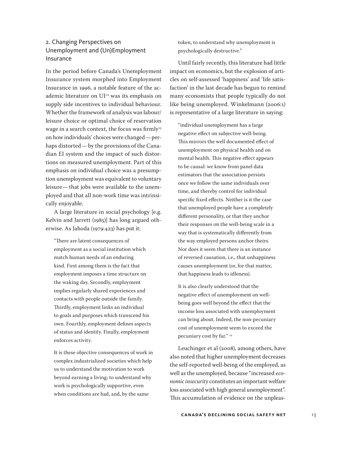# 2. Changing Perspectives on Unemployment and (Un)Employment Insurance

In the period before Canada's Unemployment Insurance system morphed into Employment Insurance in 1996, a notable feature of the academic literature on UI<sup>12</sup> was its emphasis on supply side incentives to individual behaviour. Whether the framework of analysis was labour/ leisure choice or optimal choice of reservation wage in a search context, the focus was firmly<sup>13</sup> on how individuals' choices were changed—perhaps distorted—by the provisions of the Canadian EI system and the impact of such distortions on measured unemployment. Part of this emphasis on individual choice was a presumption unemployment was equivalent to voluntary leisure—that jobs were available to the unemployed and that all non-work time was intrinsically enjoyable.

A large literature in social psychology [e.g. Kelvin and Jarrett (1985)] has long argued otherwise. As Jahoda (1979:423) has put it:

"There are latent consequences of employment as a social institution which match human needs of an enduring kind. First among them is the fact that employment imposes a time structure on the waking day. Secondly, employment implies regularly shared experiences and contacts with people outside the family. Thirdly, employment links an individual to goals and purposes which transcend his own. Fourthly, employment defines aspects of status and identity. Finally, employment enforces activity.

It is these objective consequences of work in complex industrialized societies which help us to understand the motivation to work beyond earning a living; to understand why work is psychologically supportive, even when conditions are bad, and, by the same

token, to understand why unemployment is psychologically destructive."

Until fairly recently, this literature had little impact on economics, but the explosion of articles on self-assessed 'happiness' and 'life satisfaction' in the last decade has begun to remind many economists that people typically do not like being unemployed. Winkelmann (2006:1) is representative of a large literature in saying:

"individual unemployment has a large negative effect on subjective well-being. This mirrors the well documented effect of unemployment on physical health and on mental health. This negative effect appears to be causal: we know from panel data estimators that the association persists once we follow the same individuals over time, and thereby control for individual specific fixed effects. Neither is it the case that unemployed people have a completely different personality, or that they anchor their responses on the well-being scale in a way that is systematically differently from the way employed persons anchor theirs. Nor does it seem that there is an instance of reversed causation, i.e., that unhappiness causes unemployment (or, for that matter, that happiness leads to idleness).

It is also clearly understood that the negative effect of unemployment on wellbeing goes well beyond the effect that the income loss associated with unemployment can bring about. Indeed, the non-pecuniary cost of unemployment seem to exceed the pecuniary cost by far." 14

Leuchinger et al (2008), among others, have also noted that higher unemployment decreases the self-reported well-being of the employed, as well as the unemployed, because "increased *economic insecurity* constitutes an important welfare loss associated with high general unemployment". This accumulation of evidence on the unpleas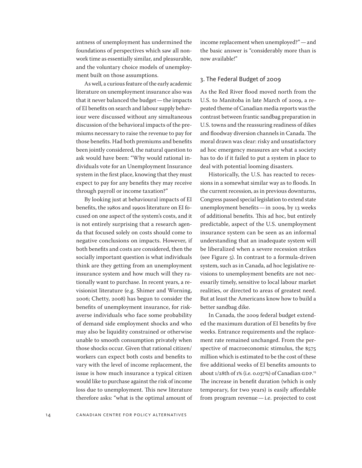antness of unemployment has undermined the foundations of perspectives which saw all nonwork time as essentially similar, and pleasurable, and the voluntary choice models of unemployment built on those assumptions.

As well, a curious feature of the early academic literature on unemployment insurance also was that it never balanced the budget—the impacts of EI benefits on search and labour supply behaviour were discussed without any simultaneous discussion of the behavioral impacts of the premiums necessary to raise the revenue to pay for those benefits. Had both premiums and benefits been jointly considered, the natural question to ask would have been: "Why would rational individuals vote for an Unemployment Insurance system in the first place, knowing that they must expect to pay for any benefits they may receive through payroll or income taxation?"

By looking just at behavioural impacts of EI benefits, the 1980s and 1990s literature on EI focused on one aspect of the system's costs, and it is not entirely surprising that a research agenda that focused solely on costs should come to negative conclusions on impacts. However, if both benefits and costs are considered, then the socially important question is what individuals think are they getting from an unemployment insurance system and how much will they rationally want to purchase. In recent years, a revisionist literature (e.g. Shimer and Worning, 2006; Chetty, 2008) has begun to consider the benefits of unemployment insurance, for riskaverse individuals who face some probability of demand side employment shocks and who may also be liquidity constrained or otherwise unable to smooth consumption privately when those shocks occur. Given that rational citizen/ workers can expect both costs and benefits to vary with the level of income replacement, the issue is how much insurance a typical citizen would like to purchase against the risk of income loss due to unemployment. This new literature therefore asks: "what is the optimal amount of income replacement when unemployed?"—and the basic answer is "considerably more than is now available!"

### 3. The Federal Budget of 2009

As the Red River flood moved north from the U.S. to Manitoba in late March of 2009, a repeated theme of Canadian media reports was the contrast between frantic sandbag preparation in U.S. towns and the reassuring readiness of dikes and floodway diversion channels in Canada. The moral drawn was clear: risky and unsatisfactory ad hoc emergency measures are what a society has to do if it failed to put a system in place to deal with potential looming disasters.

Historically, the U.S. has reacted to recessions in a somewhat similar way as to floods. In the current recession, as in previous downturns, Congress passed special legislation to extend state unemployment benefits—in 2009, by 13 weeks of additional benefits. This ad hoc, but entirely predictable, aspect of the U.S. unemployment insurance system can be seen as an informal understanding that an inadequate system will be liberalized when a severe recession strikes (see Figure 5). In contrast to a formula-driven system, such as in Canada, ad hoc legislative revisions to unemployment benefits are not necessarily timely, sensitive to local labour market realities, or directed to areas of greatest need. But at least the Americans know how to build a better sandbag dike.

In Canada, the 2009 federal budget extended the maximum duration of EI benefits by five weeks. Entrance requirements and the replacement rate remained unchanged. From the perspective of macroeconomic stimulus, the \$575 million which is estimated to be the cost of these five additional weeks of EI benefits amounts to about 1/28th of 1% (i.e. 0.037%) of Canadian GDP. 15 The increase in benefit duration (which is only temporary, for two years) is easily affordable from program revenue—i.e. projected to cost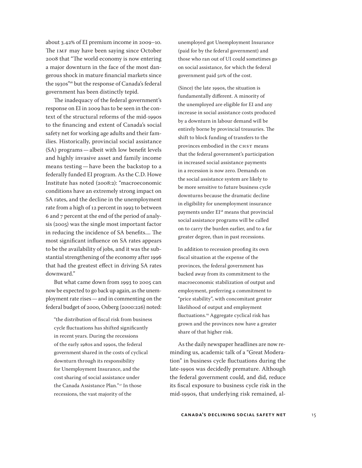about 3.42% of EI premium income in 2009–10. The IMF may have been saying since October 2008 that "The world economy is now entering a major downturn in the face of the most dangerous shock in mature financial markets since the 1930s"<sup>16</sup> but the response of Canada's federal government has been distinctly tepid.

The inadequacy of the federal government's response on EI in 2009 has to be seen in the context of the structural reforms of the mid-1990s to the financing and extent of Canada's social safety net for working age adults and their families. Historically, provincial social assistance (SA) programs—albeit with low benefit levels and highly invasive asset and family income means testing—have been the backstop to a federally funded EI program. As the C.D. Howe Institute has noted (2008:2): "macroeconomic conditions have an extremely strong impact on SA rates, and the decline in the unemployment rate from a high of 12 percent in 1993 to between 6 and 7 percent at the end of the period of analysis (2005) was the single most important factor in reducing the incidence of SA benefits.... The most significant influence on SA rates appears to be the availability of jobs, and it was the substantial strengthening of the economy after 1996 that had the greatest effect in driving SA rates downward."

But what came down from 1993 to 2005 can now be expected to go back up again, as the unemployment rate rises—and in commenting on the federal budget of 2000, Osberg (2000:226) noted:

"the distribution of fiscal risk from business cycle fluctuations has shifted significantly in recent years. During the recessions of the early 1980s and 1990s, the federal government shared in the costs of cyclical downturn through its responsibility for Unemployment Insurance, and the cost sharing of social assistance under the Canada Assistance Plan."17 In those recessions, the vast majority of the

unemployed got Unemployment Insurance (paid for by the federal government) and those who ran out of UI could sometimes go on social assistance, for which the federal government paid 50% of the cost.

(Since) the late 1990s, the situation is fundamentally different. A minority of the unemployed are eligible for EI and any increase in social assistance costs produced by a downturn in labour demand will be entirely borne by provincial treasuries. The shift to block funding of transfers to the provinces embodied in the CHST means that the federal government's participation in increased social assistance payments in a recession is now zero. Demands on the social assistance system are likely to be more sensitive to future business cycle downturns because the dramatic decline in eligibility for unemployment insurance payments under EI<sup>18</sup> means that provincial social assistance programs will be called on to carry the burden earlier, and to a far greater degree, than in past recessions.

In addition to recession proofing its own fiscal situation at the expense of the provinces, the federal government has backed away from its commitment to the macroeconomic stabilization of output and employment, preferring a commitment to "price stability", with concomitant greater likelihood of output and employment fluctuations.19 Aggregate cyclical risk has grown and the provinces now have a greater share of that higher risk.

As the daily newspaper headlines are now reminding us, academic talk of a "Great Moderation" in business cycle fluctuations during the late-1990s was decidedly premature. Although the federal government could, and did, reduce its fiscal exposure to business cycle risk in the mid-1990s, that underlying risk remained, al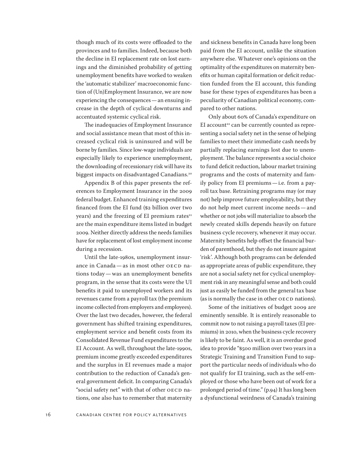though much of its costs were offloaded to the provinces and to families. Indeed, because both the decline in EI replacement rate on lost earnings and the diminished probability of getting unemployment benefits have worked to weaken the 'automatic stabilizer' macroeconomic function of (Un)Employment Insurance, we are now experiencing the consequences—an ensuing increase in the depth of cyclical downturns and accentuated systemic cyclical risk.

The inadequacies of Employment Insurance and social assistance mean that most of this increased cyclical risk is uninsured and will be borne by families. Since low-wage individuals are especially likely to experience unemployment, the downloading of recessionary risk will have its biggest impacts on disadvantaged Canadians.<sup>20</sup>

Appendix B of this paper presents the references to Employment Insurance in the 2009 federal budget. Enhanced training expenditures financed from the EI fund (\$2 billion over two years) and the freezing of EI premium rates $21$ are the main expenditure items listed in budget 2009. Neither directly address the needs families have for replacement of lost employment income during a recession.

Until the late-1980s, unemployment insurance in Canada—as in most other OECD nations today—was an unemployment benefits program, in the sense that its costs were the UI benefits it paid to unemployed workers and its revenues came from a payroll tax (the premium income collected from employers and employees). Over the last two decades, however, the federal government has shifted training expenditures, employment service and benefit costs from its Consolidated Revenue Fund expenditures to the EI Account. As well, throughout the late-1990s, premium income greatly exceeded expenditures and the surplus in EI revenues made a major contribution to the reduction of Canada's general government deficit. In comparing Canada's "social safety net" with that of other OECD nations, one also has to remember that maternity and sickness benefits in Canada have long been paid from the EI account, unlike the situation anywhere else. Whatever one's opinions on the optimality of the expenditures on maternity benefits or human capital formation or deficit reduction funded from the EI account, this funding base for these types of expenditures has been a peculiarity of Canadian political economy, compared to other nations.

Only about 60% of Canada's expenditure on EI account<sup>22</sup> can be currently counted as representing a social safety net in the sense of helping families to meet their immediate cash needs by partially replacing earnings lost due to unemployment. The balance represents a social choice to fund deficit reduction, labour market training programs and the costs of maternity and family policy from EI premiums—i.e. from a payroll tax base. Retraining programs may (or may not) help improve future employability, but they do not help meet current income needs—and whether or not jobs will materialize to absorb the newly created skills depends heavily on future business cycle recovery, whenever it may occur. Maternity benefits help offset the financial burden of parenthood, but they do not insure against 'risk'. Although both programs can be defended as appropriate areas of public expenditure, they are not a social safety net for cyclical unemployment risk in any meaningful sense and both could just as easily be funded from the general tax base (as is normally the case in other OECD nations).

Some of the initiatives of budget 2009 are eminently sensible. It is entirely reasonable to commit now to not raising a payroll taxes (EI premiums) in 2010, when the business cycle recovery is likely to be faint. As well, it is an overdue good idea to provide "\$500 million over two years in a Strategic Training and Transition Fund to support the particular needs of individuals who do not qualify for EI training, such as the self-employed or those who have been out of work for a prolonged period of time." (p.94) It has long been a dysfunctional weirdness of Canada's training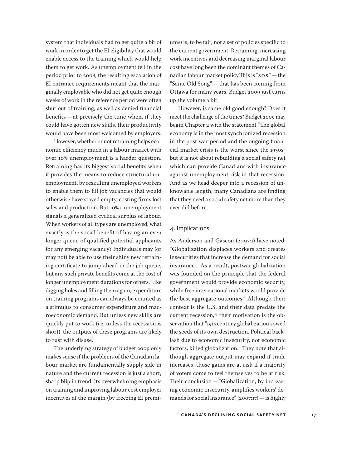system that individuals had to get quite a bit of work in order to get the EI eligibility that would enable access to the training which would help them to get work. As unemployment fell in the period prior to 2008, the resulting escalation of EI entrance requirements meant that the marginally employable who did not get quite enough weeks of work in the reference period were often shut out of training, as well as denied financial benefits—at precisely the time when, if they could have gotten new skills, their productivity would have been most welcomed by employers.

However, whether or not retraining helps economic efficiency much in a labour market with over 10% unemployment is a harder question. Retraining has its biggest social benefits when it provides the means to reduce structural unemployment, by reskilling unemployed workers to enable them to fill job vacancies that would otherwise have stayed empty, costing firms lost sales and production. But 10%+ unemployment signals a generalized cyclical surplus of labour. When workers of all types are unemployed, what exactly is the social benefit of having an even longer queue of qualified potential applicants for any emerging vacancy? Individuals may (or may not) be able to use their shiny new retraining certificate to jump ahead in the job queue, but any such private benefits come at the cost of longer unemployment durations for others. Like digging holes and filling them again, expenditure on training programs can always be counted as a stimulus to consumer expenditure and macroeconomic demand. But unless new skills are quickly put to work (i.e. unless the recession is short), the outputs of these programs are likely to rust with disuse.

The underlying strategy of budget 2009 only makes sense if the problems of the Canadian labour market are fundamentally supply side in nature and the current recession is just a short, sharp blip in trend. Its overwhelming emphasis on training and improving labour cost employer incentives at the margin (by freezing EI premiums) is, to be fair, not a set of policies specific to the current government. Retraining, increasing work incentives and decreasing marginal labour cost have long been the dominant themes of Canadian labour market policy.This is "SOS"—the "Same Old Song"—that has been coming from Ottawa for many years. Budget 2009 just turns up the volume a bit.

However, is same old good enough? Does it meet the challenge of the times? Budget 2009 may begin Chapter 2 with the statement "The global economy is in the most synchronized recession in the post-war period and the ongoing financial market crisis is the worst since the 1930s" but it is not about rebuilding a social safety net which can provide Canadians with insurance against unemployment risk in that recession. And as we head deeper into a recession of unknowable length, many Canadians are finding that they need a social safety net more than they ever did before.

### 4. Implications

As Anderson and Gascon (2007:1) have noted: "Globalization displaces workers and creates insecurities that increase the demand for social insurance... As a result, postwar globalization was founded on the principle that the federal government would provide economic security, while free international markets would provide the best aggregate outcomes." Although their context is the U.S. and their data predate the current recession, $23$  their motivation is the observation that "19th century globalization sowed the seeds of its own destruction. Political backlash due to economic insecurity, not economic factors, killed globalization." They note that although aggregate output may expand if trade increases, those gains are at risk if a majority of voters come to feel themselves to be at risk. Their conclusion—"Globalization, by increasing economic insecurity, amplifies workers' demands for social insurance" (2007:17)—is highly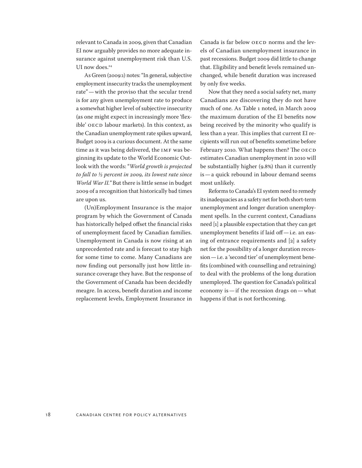relevant to Canada in 2009, given that Canadian EI now arguably provides no more adequate insurance against unemployment risk than U.S. UI now does.<sup>24</sup>

As Green (2009:1) notes: "In general, subjective employment insecurity tracks the unemployment rate"—with the proviso that the secular trend is for any given unemployment rate to produce a somewhat higher level of subjective insecurity (as one might expect in increasingly more 'flexible' OECD labour markets). In this context, as the Canadian unemployment rate spikes upward, Budget 2009 is a curious document. At the same time as it was being delivered, the IMF was beginning its update to the World Economic Outlook with the words: "*World growth is projected to fall to ½ percent in 2009, its lowest rate since World War II."* But there is little sense in budget 2009 of a recognition that historically bad times are upon us.

(Un)Employment Insurance is the major program by which the Government of Canada has historically helped offset the financial risks of unemployment faced by Canadian families. Unemployment in Canada is now rising at an unprecedented rate and is forecast to stay high for some time to come. Many Canadians are now finding out personally just how little insurance coverage they have. But the response of the Government of Canada has been decidedly meagre. In access, benefit duration and income replacement levels, Employment Insurance in Canada is far below OECD norms and the levels of Canadian unemployment insurance in past recessions. Budget 2009 did little to change that. Eligibility and benefit levels remained unchanged, while benefit duration was increased by only five weeks.

Now that they need a social safety net, many Canadians are discovering they do not have much of one. As Table 1 noted, in March 2009 the maximum duration of the EI benefits now being received by the minority who qualify is less than a year. This implies that current EI recipients will run out of benefits sometime before February 2010. What happens then? The OECD estimates Canadian unemployment in 2010 will be substantially higher (9.8%) than it currently is—a quick rebound in labour demand seems most unlikely.

Reforms to Canada's EI system need to remedy its inadequacies as a safety net for both short-term unemployment and longer duration unemployment spells. In the current context, Canadians need [1] a plausible expectation that they can get unemployment benefits if laid off—i.e. an easing of entrance requirements and [2] a safety net for the possibility of a longer duration recession—i.e. a 'second tier' of unemployment benefits (combined with counselling and retraining) to deal with the problems of the long duration unemployed. The question for Canada's political economy is—if the recession drags on—what happens if that is not forthcoming.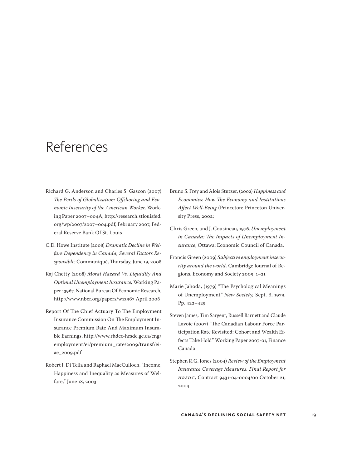# References

- Richard G. Anderson and Charles S. Gascon (2007) *The Perils of Globalization: Offshoring and Economic Insecurity of the American Worker,* Working Paper 2007–004A, [http://research.stlouisfed.](http://research.stlouisfed.org/wp/2007/2007-004.pdf) [org/wp/2007/2007–004.pdf](http://research.stlouisfed.org/wp/2007/2007-004.pdf), February 2007, Federal Reserve Bank Of St. Louis
- C.D. Howe Institute (2008) *Dramatic Decline in Welfare Dependency in Canada, Several Factors Responsible:* Communiqué, Thursday, June 19, 2008
- Raj Chetty (2008) *Moral Hazard Vs. Liquidity And Optimal Unemployment Insurance,* Working Paper 13967, National Bureau Of Economic Research, <http://www.nber.org/papers/w13967 April 2008>
- Report Of The Chief Actuary To The Employment Insurance Commission On The Employment Insurance Premium Rate And Maximum Insurable Earnings, [http://www.rhdcc-hrsdc.gc.ca/eng/](http://www.rhdcc-hrsdc.gc.ca/eng/employment/ei/premium_rate/2009/transf/ei-ae_2009.pdf) [employment/ei/premium\\_rate/2009/transf/ei](http://www.rhdcc-hrsdc.gc.ca/eng/employment/ei/premium_rate/2009/transf/ei-ae_2009.pdf)[ae\\_2009.pdf](http://www.rhdcc-hrsdc.gc.ca/eng/employment/ei/premium_rate/2009/transf/ei-ae_2009.pdf)
- Robert J. Di Tella and Raphael MacCulloch, "Income, Happiness and Inequality as Measures of Welfare," June 18, 2003
- Bruno S. Frey and Alois Stutzer, (2002) *Happiness and Economics: How The Economy and Institutions Affect Well-Being* (Princeton: Princeton University Press, 2002;
- Chris Green, and J. Cousineau, 1976. *Unemployment in Canada: The Impacts of Unemployment Insurance*, Ottawa: Economic Council of Canada.
- Francis Green (2009) *Subjective employment insecurity around the world,* Cambridge Journal of Regions, Economy and Society 2009, 1–21
- Marie Jahoda, (1979) "The Psychological Meanings of Unemployment" *New Society,* Sept. 6, 1979, Pp. 422–425
- Steven James, Tim Sargent, Russell Barnett and Claude Lavoie (2007) "The Canadian Labour Force Participation Rate Revisited: Cohort and Wealth Effects Take Hold" Working Paper 2007-01, Finance Canada
- Stephen R.G. Jones (2004) *Review of the Employment Insurance Coverage Measures, Final Report for HRSDC,* Contract 9431-04-0004/00 October 21, 2004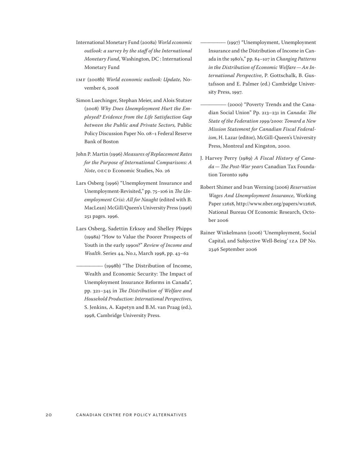- International Monetary Fund (2008a) *World economic outlook: a survey by the staff of the International Monetary Fund*, Washington, DC : International Monetary Fund
- IMF (2008b) *World economic outlook: Update,* November 6, 2008
- Simon Luechinger, Stephan Meier, and Alois Stutzer (2008) *Why Does Unemployment Hurt the Employed? Evidence from the Life Satisfaction Gap between the Public and Private Sectors,* Public Policy Discussion Paper No. 08–1 Federal Reserve Bank of Boston
- John P. Martin (1996) *Measures of Replacement Rates for the Purpose of International Comparisons: A Note*, OECD Economic Studies, No. 26
- Lars Osberg (1996) "Unemployment Insurance and Unemployment-Revisited," pp. 75–106 in *The Unemployment Crisi: All for Naught* (edited with B. MacLean) McGill/Queen's University Press (1996) 251 pages. 1996.
- Lars Osberg, Sadettin Erksoy and Shelley Phipps (1998a) "How to Value the Poorer Prospects of Youth in the early 1990s?" *Review of Income and Wealth*. Series 44, No.1, March 1998, pp. 43–62

(1998b) "The Distribution of Income, Wealth and Economic Security: The Impact of Unemployment Insurance Reforms in Canada", pp. 321–345 in *The Distribution of Welfare and Household Production: International Perspectives*, S. Jenkins, A. Kapetyn and B.M. van Praag (ed.), 1998, Cambridge University Press.

(1997) "Unemployment, Unemployment Insurance and the Distribution of Income in Canada in the 1980's," pp. 84–107 in *Changing Patterns in the Distribution of Economic Welfare—An International Perspective*, P. Gottschalk, B. Gustafsson and E. Palmer (ed.) Cambridge University Press, 1997.

- (2000) "Poverty Trends and the Canadian Social Union" Pp. 213–231 in *Canada: The State of the Federation 1999/2000: Toward a New Mission Statement for Canadian Fiscal Federalism*, H. Lazar (editor), McGill-Queen's University Press, Montreal and Kingston, 2000.
- J. Harvey Perry (1989) *A Fiscal History of Canada—The Post-War years* Canadian Tax Foundation Toronto 1989
- Robert Shimer and Ivan Werning (2006) *Reservation Wages And Unemployment Insurance*, Working Paper 12618, [http://www.nber.org/papers/w12618,](http://www.nber.org/papers/w12618) National Bureau Of Economic Research, October 2006
- Rainer Winkelmann (2006) 'Unemployment, Social Capital, and Subjective Well-Being' IZA DP No. 2346 September 2006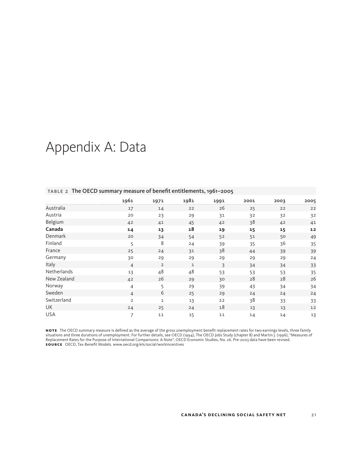# Appendix A: Data

|             | 1961           | 1971           | 1981         | 1991 | 2001 | 2003 | 2005 |
|-------------|----------------|----------------|--------------|------|------|------|------|
| Australia   | 17             | 14             | 22           | 26   | 25   | 22   | 22   |
| Austria     | 20             | 23             | 29           | 31   | 32   | 32   | 32   |
| Belgium     | 42             | 41             | 45           | 42   | 38   | 42   | 41   |
| Canada      | 14             | 13             | 18           | 19   | 15   | 15   | 12   |
| Denmark     | 20             | 34             | 54           | 52   | 51   | 50   | 49   |
| Finland     | 5              | 8              | 24           | 39   | 35   | 36   | 35   |
| France      | 25             | 24             | 31           | 38   | 44   | 39   | 39   |
| Germany     | 30             | 29             | 29           | 29   | 29   | 29   | 24   |
| Italy       | $\overline{4}$ | $\overline{2}$ | $\mathbf{1}$ | 3    | 34   | 34   | 33   |
| Netherlands | 13             | 48             | 48           | 53   | 53   | 53   | 35   |
| New Zealand | 42             | 26             | 29           | 30   | 28   | 28   | 26   |
| Norway      | $\overline{4}$ | 5              | 29           | 39   | 43   | 34   | 34   |
| Sweden      | $\overline{4}$ | 6              | 25           | 29   | 24   | 24   | 24   |
| Switzerland | $\overline{2}$ | $\mathbf 1$    | 13           | 22   | 38   | 33   | 33   |
| UK          | 24             | 25             | 24           | 18   | 13   | 13   | 12   |
| <b>USA</b>  | $\overline{7}$ | 11             | 15           | 11   | 14   | 14   | 13   |

### Table 2 The OECD summary measure of benefit entitlements, 1961–2005

NOTE The OECD summary measure is defined as the average of the gross unemployment benefit replacement rates for two earnings levels, three family<br>situations and three durations of unemployment. For further details, see OEC Replacement Rates for the Purpose of International Comparisons: A Note", OECD Economic Studies, No. 26. Pre-2003 data have been revised. **Sou rce** OECD, Tax-Benefit Models. [www.oecd.org/els/social/workincentives](http://www.oecd.org/els/social/workincentives)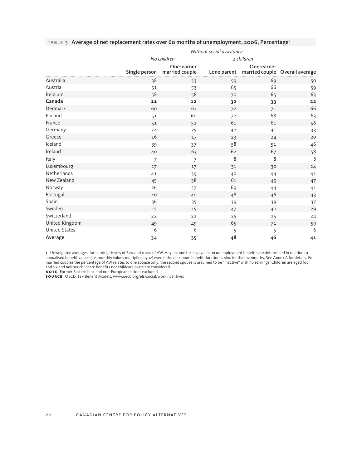|                      | Without social assistance |                              |             |                                              |    |  |  |
|----------------------|---------------------------|------------------------------|-------------|----------------------------------------------|----|--|--|
|                      |                           | No children                  |             | 2 children                                   |    |  |  |
|                      | Single person             | One-earner<br>married couple | Lone parent | One-earner<br>married couple Overall average |    |  |  |
| Australia            | 38                        | 33                           | 59          | 69                                           | 50 |  |  |
| Austria              | 51                        | 53                           | 65          | 66                                           | 59 |  |  |
| Belgium              | 58                        | 58                           | 70          | 65                                           | 63 |  |  |
| Canada               | $11$                      | 12                           | 32          | 33                                           | 22 |  |  |
| Denmark              | 60                        | 61                           | 72          | 71                                           | 66 |  |  |
| Finland              | 51                        | 60                           | 72          | 68                                           | 63 |  |  |
| France               | 51                        | 52                           | 61          | 61                                           | 56 |  |  |
| Germany              | 24                        | 25                           | 42          | 41                                           | 33 |  |  |
| Greece               | 16                        | 17                           | 23          | 24                                           | 20 |  |  |
| Iceland              | 39                        | 37                           | 58          | 51                                           | 46 |  |  |
| Ireland <sup>2</sup> | 40                        | 63                           | 62          | 67                                           | 58 |  |  |
| Italy                | $\overline{7}$            | $\overline{7}$               | 8           | 8                                            | 8  |  |  |
| Luxembourg           | 17                        | 17                           | 31          | 30                                           | 24 |  |  |
| Netherlands          | 41                        | 39                           | 40          | 44                                           | 41 |  |  |
| New Zealand          | 45                        | 38                           | 61          | 45                                           | 47 |  |  |
| Norway               | 26                        | 27                           | 69          | 44                                           | 41 |  |  |
| Portugal             | 40                        | 40                           | 48          | 46                                           | 43 |  |  |
| Spain                | 36                        | 35                           | 39          | 39                                           | 37 |  |  |
| Sweden               | 15                        | 15                           | 47          | 40                                           | 29 |  |  |
| Switzerland          | 22                        | 22                           | 25          | 25                                           | 24 |  |  |
| United Kingdom       | 49                        | 49                           | 65          | 71                                           | 59 |  |  |
| <b>United States</b> | 6                         | 6                            | 5           | 5                                            | 6  |  |  |
| Average              | 34                        | 35                           | 48          | 46                                           | 41 |  |  |

## TABLE 3 Average of net replacement rates over 60 months of unemployment, 2006, Percentage<sup>1</sup>

1 Unweighted averages, for earnings levels of 67% and 100% of AW. Any income taxes payable on unemployment benefits are determined in relation to<br>annualised benefit values (i.e. monthly values multiplied by 12) even if the married couples the percentage of AW relates to one spouse only; the second spouse is assumed to be "inactive" with no earnings. Children are aged four and six and neither childcare benefits nor childcare costs are considered. **Note** Former Eastern bloc and non-European nations excluded

**SOURCE** OECD, Tax-Benefit Models. [www.oecd.org/els/social/workincentives](http://www.oecd.org/els/social/workincentives)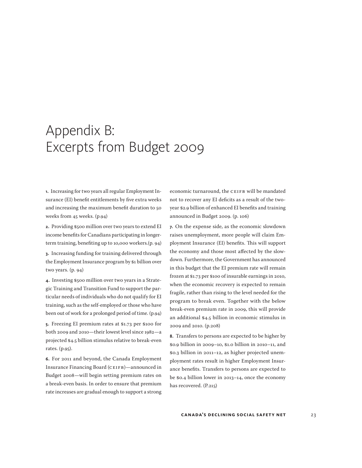# Appendix B: Excerpts from Budget 2009

**1.** Increasing for two years all regular Employment Insurance (EI) benefit entitlements by five extra weeks and increasing the maximum benefit duration to 50 weeks from 45 weeks. (p.94)

**2.** Providing \$500 million over two years to extend EI income benefits for Canadians participating in longerterm training, benefiting up to 10,000 workers.(p. 94)

**3.** Increasing funding for training delivered through the Employment Insurance program by \$1 billion over two years. (p. 94)

**4.** Investing \$500 million over two years in a Strategic Training and Transition Fund to support the particular needs of individuals who do not qualify for EI training, such as the self-employed or those who have been out of work for a prolonged period of time. (p.94)

**5.** Freezing EI premium rates at \$1.73 per \$100 for both 2009 and 2010—their lowest level since 1982—a projected \$4.5 billion stimulus relative to break-even rates. (p.95).

**6.** For 2011 and beyond, the Canada Employment Insurance Financing Board (CEIFB)—announced in Budget 2008—will begin setting premium rates on a break-even basis. In order to ensure that premium rate increases are gradual enough to support a strong

economic turnaround, the CEIFB will be mandated not to recover any EI deficits as a result of the twoyear \$2.9 billion of enhanced EI benefits and training announced in Budget 2009. (p. 106)

**7.** On the expense side, as the economic slowdown raises unemployment, more people will claim Employment Insurance (EI) benefits. This will support the economy and those most affected by the slowdown. Furthermore, the Government has announced in this budget that the EI premium rate will remain frozen at \$1.73 per \$100 of insurable earnings in 2010, when the economic recovery is expected to remain fragile, rather than rising to the level needed for the program to break even. Together with the below break-even premium rate in 2009, this will provide an additional \$4.5 billion in economic stimulus in 2009 and 2010. (p.208)

**8.** Transfers to persons are expected to be higher by \$0.9 billion in 2009–10, \$1.0 billion in 2010–11, and \$0.3 billion in 2011–12, as higher projected unemployment rates result in higher Employment Insurance benefits. Transfers to persons are expected to be \$0.4 billion lower in 2013–14, once the economy has recovered. (P.215)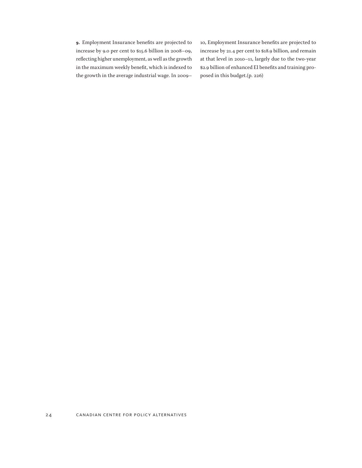**9.** Employment Insurance benefits are projected to increase by 9.0 per cent to \$15.6 billion in 2008–09, reflecting higher unemployment, as well as the growth in the maximum weekly benefit, which is indexed to the growth in the average industrial wage. In 2009–

10, Employment Insurance benefits are projected to increase by 21.4 per cent to \$18.9 billion, and remain at that level in 2010–11, largely due to the two-year \$2.9 billion of enhanced EI benefits and training proposed in this budget.(p. 226)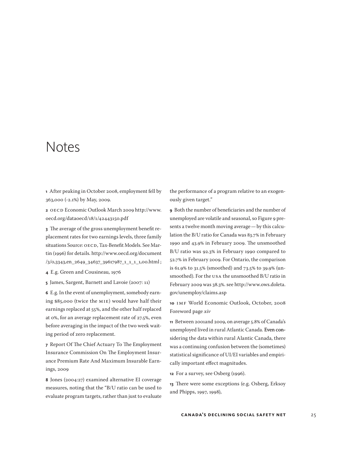# Notes

**1** After peaking in October 2008, employment fell by 363,000 (-2.1%) by May, 2009.

**2** OECD Economic Outlook March 2009 http://www. oecd.org/dataoecd/18/1/42443150.pdf

**3** The average of the gross unemployment benefit replacement rates for two earnings levels, three family situations Source: OECD, Tax-Benefit Models. See Martin (1996) for details. http://www.oecd.org/document /3/0,3343,en\_2649\_34637\_39617987\_1\_1\_1\_1,00.html ;

- **4** E.g. Green and Cousineau, 1976
- **5** James, Sargent, Barnett and Lavoie (2007: 11)

**6** E.g. In the event of unemployment, somebody earning \$85,000 (twice the MIE) would have half their earnings replaced at 55%, and the other half replaced at 0%, for an average replacement rate of 27.5%, even before averaging in the impact of the two week waiting period of zero replacement.

**7** Report Of The Chief Actuary To The Employment Insurance Commission On The Employment Insurance Premium Rate And Maximum Insurable Earnings, 2009

**8** Jones (2004:27) examined alternative EI coverage measures, noting that the "B/U ratio can be used to evaluate program targets, rather than just to evaluate

the performance of a program relative to an exogenously given target."

**9** Both the number of beneficiaries and the number of unemployed are volatile and seasonal, so Figure 9 presents a twelve month moving average—by this calculation the B/U ratio for Canada was 83.7% in February 1990 and 43.9% in February 2009. The unsmoothed B/U ratio was 92.3% in February 1990 compared to 52.7% in February 2009. For Ontario, the comparison is 61.9% to 31.5% (smoothed) and 73.5% to 39.9% (unsmoothed). For the USA the unsmoothed B/U ratio in February 2009 was 38.3%. see http://www.ows.doleta. gov/unemploy/claims.asp

**10** IMF World Economic Outlook, October, 2008 Foreword page *xiv*

**11** Between 2001and 2009, on average 5.8% of Canada's unemployed lived in rural Atlantic Canada. Even considering the data within rural Alantic Canada, there was a continuing confusion between the (sometimes) statistical significance of UI/EI variables and empirically important effect magnitudes.

**12** For a survey, see Osberg (1996).

**13** There were some exceptions (e.g. Osberg, Erksoy and Phipps, 1997, 1998),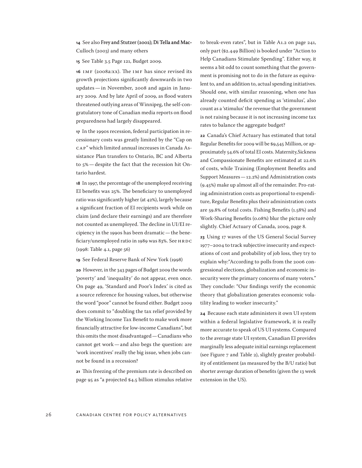### 14 See also Frey and Stutzer (2002); Di Tella and Mac-Culloch (2003) and many others

**15** See Table 3.5 Page 121, Budget 2009.

**16** IMF (2008a:xx). The IMF has since revised its growth projections significantly downwards in two updates—in November, 2008 and again in January 2009. And by late April of 2009, as flood waters threatened outlying areas of Winnipeg, the self-congratulatory tone of Canadian media reports on flood preparedness had largely disappeared.

**17** In the 1990s recession, federal participation in recessionary costs was greatly limited by the "Cap on CAP" which limited annual increases in Canada Assistance Plan transfers to Ontario, BC and Alberta to 5%—despite the fact that the recession hit Ontario hardest.

**18** In 1997, the percentage of the unemployed receiving EI benefits was 25%. The beneficiary to unemployed ratio was significantly higher (at 42%), largely because a significant fraction of EI recipients work while on claim (and declare their earnings) and are therefore not counted as unemployed. The decline in UI/EI recipiency in the 1990s has been dramatic—the beneficiary/unemployed ratio in 1989 was 83%. See HRDC (1998: Table 4.1, page 56)

**19** See Federal Reserve Bank of New York (1998)

**20** However, in the 343 pages of Budget 2009 the words 'poverty' and 'inequality' do not appear, even once. On page 49, 'Standard and Poor's Index' is cited as a source reference for housing values, but otherwise the word "poor" cannot be found either. Budget 2009 does commit to "doubling the tax relief provided by the Working Income Tax Benefit to make work more financially attractive for low-income Canadians", but this omits the most disadvantaged—Canadians who cannot get work—and also begs the question: are 'work incentives' really the big issue, when jobs cannot be found in a recession?

**21** This freezing of the premium rate is described on page 95 as "a projected \$4.5 billion stimulus relative to break-even rates", but in Table A1.2 on page 241, only part (\$2.449 Billion) is booked under "Action to Help Canadians Stimulate Spending". Either way, it seems a bit odd to count something that the government is promising not to do in the future as equivalent to, and an addition to, actual spending initiatives. Should one, with similar reasoning, when one has already counted deficit spending as 'stimulus', also count as a 'stimulus' the revenue that the government is not raising because it is not increasing income tax rates to balance the aggregate budget?

**22** Canada's Chief Actuary has estimated that total Regular Benefits for 2009 will be \$9,545 Million, or approximately 54.6% of total EI costs. Maternity,Sickness and Compassionate Benefits are estimated at 22.6% of costs, while Training (Employment Benefits and Support Measures—12.2%) and Administration costs (9.45%) make up almost all of the remainder. Pro-rating administration costs as proportional to expenditure, Regular Benefits plus their administration costs are 59.8% of total costs. Fishing Benefits (1.58%) and Work-Sharing Benefits (0.08%) blur the picture only slightly. Chief Actuary of Canada, 2009, page 8.

**23** Using 17 waves of the US General Social Survey 1977–2004 to track subjective insecurity and expectations of cost and probability of job loss, they try to explain why:"According to polls from the 2006 congressional elections, globalization and economic insecurity were the primary concerns of many voters." They conclude: "Our findings verify the economic theory that globalization generates economic volatility leading to worker insecurity."

**24** Because each state administers it own UI system within a federal legislative framework, it is really more accurate to speak of US UI systems. Compared to the average state UI system, Canadian EI provides marginally less adequate initial earnings replacement (see Figure 7 and Table 2), slightly greater probability of entitlement (as measured by the B/U ratio) but shorter average duration of benefits (given the 13 week extension in the US).